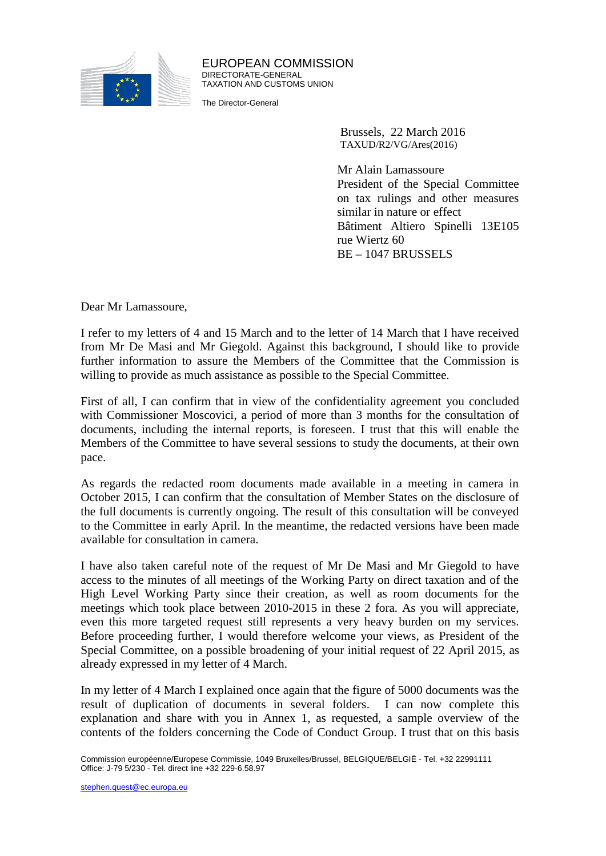

EUROPEAN COMMISSION DIRECTORATE-GENERAL TAXATION AND CUSTOMS UNION

The Director-General

Brussels, 22 March 2016 TAXUD/R2/VG/Ares(2016)

Mr Alain Lamassoure President of the Special Committee on tax rulings and other measures similar in nature or effect Bâtiment Altiero Spinelli 13E105 rue Wiertz 60 BE –1047 BRUSSELS

Dear Mr Lamassoure,

I refer to my letters of 4 and 15 March and to the letter of 14 March that I have received from Mr De Masi and Mr Giegold. Against this background, I should like to provide further information to assure the Members of the Committee that the Commission is willing to provide as much assistance as possible to the Special Committee.

First of all, I can confirm that in view of the confidentiality agreement you concluded with Commissioner Moscovici, a period of more than 3 months for the consultation of documents, including the internal reports, is foreseen. I trust that this will enable the Members of the Committee to have several sessions to study the documents, at their own pace.

As regards the redacted room documents made available in a meeting in camera in October 2015, I can confirm that the consultation of Member States on the disclosure of the full documents is currently ongoing. The result of this consultation will be conveyed to the Committee in early April. In the meantime, the redacted versions have been made available for consultation in camera.

I have also taken careful note of the request of Mr De Masi and Mr Giegold to have access to the minutes of all meetings of the Working Party on direct taxation and of the High Level Working Party since their creation, as well as room documents for the meetings which took place between 2010-2015 in these 2 fora. As you will appreciate, even this more targeted request still represents a very heavy burden on my services. Before proceeding further, I would therefore welcome your views, as President of the Special Committee, on a possible broadening of your initial request of 22 April 2015, as already expressed in my letter of 4 March.

In my letter of 4 March I explained once again that the figure of 5000 documents was the result of duplication of documents in several folders. I can now complete this explanation and share with you in Annex 1, as requested, a sample overview of the contents of the folders concerning the Code of Conduct Group. I trust that on this basis

Commission européenne/Europese Commissie, 1049 Bruxelles/Brussel, BELGIQUE/BELGIË - Tel. +32 22991111 Office: J-79 5/230 - Tel. direct line +32 229-6.58.97